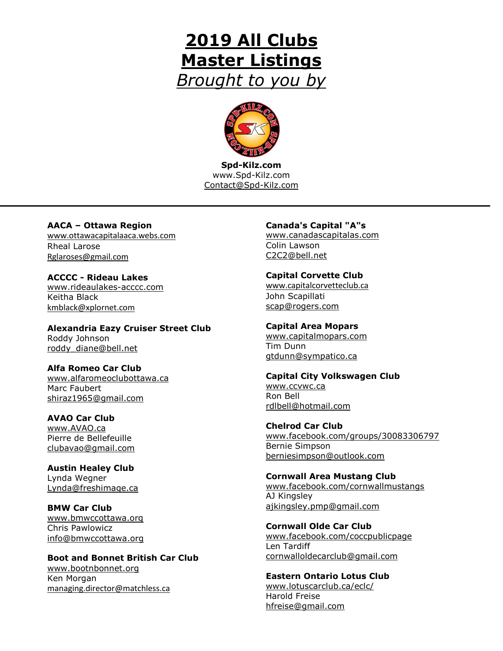# **2019 All Clubs Master Listings** *Brought to you by*



**Spd-Kilz.com** www.Spd-Kilz.com [Contact@Spd-Kilz.com](mailto:Contact@Spd-Kilz.com)

**AACA – Ottawa Region** [www.ottawacapitalaaca.webs.com](http://www.ottawacapitalaaca.webs.com/) Rheal Larose [Rglaroses@gmail.com](mailto:Rglaroses@gmail.com)

**ACCCC - Rideau Lakes** [www.rideaulakes-acccc.com](http://www.rideaulakes-acccc.com/) Keitha Black [kmblack@xplornet.com](mailto:kmblack@xplornet.com)

**Alexandria Eazy Cruiser Street Club** Roddy Johnson [roddy\\_diane@bell.net](mailto:roddy_diane@bell.net)

**Alfa Romeo Car Club** [www.alfaromeoclubottawa.ca](http://www.alfaromeoclubottawa.ca/) Marc Faubert [shiraz1965@gmail.com](mailto:shiraz1965@gmail.com)

**AVAO Car Club** [www.AVAO.ca](http://www.avao.ca/) Pierre de Bellefeuille [clubavao@gmail.com](mailto:clubavao@gmail.com)

**Austin Healey Club** Lynda Wegner [Lynda@freshimage.ca](mailto:Lynda@freshimage.ca)

**BMW Car Club** [www.bmwccottawa.org](http://www.bmwccottawa.org/) Chris Pawlowicz [info@bmwccottawa.org](mailto:info@bmwccottawa.org)

**Boot and Bonnet British Car Club** [www.bootnbonnet.org](http://www.bootnbonnet.org/) Ken Morgan [managing.director@matchless.ca](mailto:managing.director@matchless.ca)

#### **Canada's Capital "A"s**

[www.canadascapitalas.com](http://www.canadascapitalas.com/) Colin Lawson [C2C2@bell.net](mailto:C2C2@bell.net)

#### **Capital Corvette Club**

[www.capitalcorvetteclub.ca](http://www.capitalcorvetteclub.ca/) John Scapillati [scap@rogers.com](mailto:scap@rogers.com)

**Capital Area Mopars** [www.capitalmopars.com](http://www.capitalmopars.com/) Tim Dunn

[gtdunn@sympatico.ca](mailto:gtdunn@sympatico.ca)

#### **Capital City Volkswagen Club**

[www.ccvwc.ca](http://www3.sympatico.ca/h.brouwer/ccvwc/menu.html) Ron Bell [rdlbell@hotmail.com](mailto:rdlbell@hotmail.com)

**Chelrod Car Club** [www.facebook.com/groups/30083306797](http://www.facebook.com/groups/30083306797) Bernie Simpson [berniesimpson@outlook.com](mailto:berniesimpson@outlook.com)

**Cornwall Area Mustang Club** [www.facebook.com/cornwallmustangs](http://www.facebook.com/cornwallmustangs) AJ Kingsley [ajkingsley.pmp@gmail.com](mailto:ajkingsley.pmp@gmail.com)

**Cornwall Olde Car Club** [www.facebook.com/coccpublicpage](http://www.facebook.com/coccpublicpage) Len Tardiff [cornwalloldecarclub@gmail.com](mailto:cornwalloldecarclub@gmail.com)

**Eastern Ontario Lotus Club** [www.lotuscarclub.ca/eclc/](http://www.lotuscarclub.ca/eclc/) Harold Freise [hfreise@gmail.com](mailto:hfreise@gmail.com)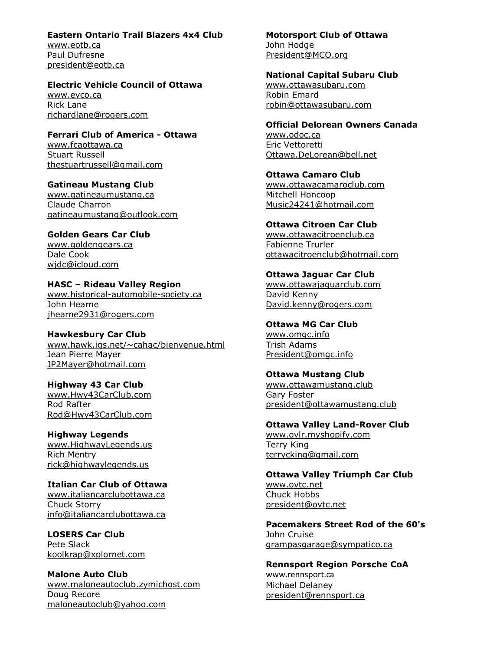#### **Eastern Ontario Trail Blazers 4x4 Club**

[www.eotb.ca](http://www.eotb.ca/) Paul Dufresne [president@eotb.ca](mailto:president@eotb.ca)

### **Electric Vehicle Council of Ottawa**

[www.evco.ca](http://www.evco.ca/) Rick Lane [richardlane@rogers.com](mailto:richardlane@rogers.com)

#### **Ferrari Club of America - Ottawa**

[www.fcaottawa.ca](http://www.fcaottawa.ca/) Stuart Russell [thestuartrussell@gmail.com](mailto:thestuartrussell@gmail.com)

#### **Gatineau Mustang Club**

[www.gatineaumustang.ca](http://www.gatineaumustang.ca/) Claude Charron [gatineaumustang@outlook.com](mailto:gatineaumustang@outlook.com)

### **Golden Gears Car Club**

[www.goldengears.ca](http://www.goldengears.ca/) Dale Cook [wjdc@icloud.com](mailto:wjdc@icloud.com)

## **HASC – Rideau Valley Region**

[www.historical-automobile-society.ca](http://www.historical-automobile-society.ca/) John Hearne [jhearne2931@rogers.com](mailto:jhearne2931@rogers.com)

## **Hawkesbury Car Club**

[www.hawk.igs.net/~cahac/bienvenue.html](http://www.hawk.igs.net/~cahac/bienvenue.html) Jean Pierre Mayer [JP2Mayer@hotmail.com](mailto:JP2Mayer@hotmail.com)

## **Highway 43 Car Club**

[www.Hwy43CarClub.com](http://www.hwy43carclub.com/) Rod Rafter [Rod@Hwy43CarClub.com](mailto:Rod@Hwy43CarClub.commailto:Rod@Hwy43CarClub.com)

#### **Highway Legends** [www.HighwayLegends.us](http://www.highwaylegends.us/) Rich Mentry [rick@highwaylegends.us](mailto:rick@highwaylegends.us)

#### **Italian Car Club of Ottawa** [www.italiancarclubottawa.ca](http://www.italiancarclubottawa.ca/) Chuck Storry [info@italiancarclubottawa.ca](mailto:info@italiancarclubottawa.ca)

#### **LOSERS Car Club** Pete Slack [koolkrap@xplornet.com](mailto:koolkrap@xplornet.com)

#### **Malone Auto Club** [www.maloneautoclub.zymichost.com](http://www.maloneautoclub.zymichost.com/) Doug Recore [maloneautoclub@yahoo.com](mailto:maloneautoclub@yahoo.com)

#### **Motorsport Club of Ottawa** John Hodge

[President@MCO.org](mailto:President@MCO.org)

### **National Capital Subaru Club**

[www.ottawasubaru.com](http://www.ottawasubaru.com/) Robin Emard [robin@ottawasubaru.com](mailto:robin@ottawasubaru.com)

#### **Official Delorean Owners Canada**

[www.odoc.ca](http://www.odoc.ca/) Eric Vettoretti [Ottawa.DeLorean@bell.net](mailto:Ottawa.DeLorean@bell.net)

**Ottawa Camaro Club** [www.ottawacamaroclub.com](http://www.ottawacamaroclub.com/) Mitchell Honcoop [Music24241@hotmail.com](mailto:Music24241@hotmail.com)

## **Ottawa Citroen Car Club**

[www.ottawacitroenclub.ca](http://www.ottawacitroenclub.ca/) Fabienne Trurler [ottawacitroenclub@hotmail.com](mailto:ottawacitroenclub@hotmail.com)

## **Ottawa Jaguar Car Club**

[www.ottawajaguarclub.com](http://www.ottawajaguarclub.com/) David Kenny [David.kenny@rogers.com](mailto:David.kenny@rogers.com)

### **Ottawa MG Car Club**

[www.omgc.info](http://www.omgc.info/) Trish Adams [President@omgc.info](mailto:President@omgc.info)

#### **Ottawa Mustang Club**

[www.ottawamustang.club](http://www.ottawamustang.club/) Gary Foster [president@ottawamustang.club](mailto:president@ottawamustang.club)

#### **Ottawa Valley Land-Rover Club** [www.ovlr.myshopify.com](http://www.ovlr.myshopify.com/) Terry King [terrycking@gmail.com](mailto:terrycking@gmail.com)

**Ottawa Valley Triumph Car Club** [www.ovtc.net](http://www.ovtc.net/) Chuck Hobbs [president@ovtc.net](mailto:president@ovtc.net)

#### **Pacemakers Street Rod of the 60's** John Cruise [grampasgarage@sympatico.ca](mailto:grampasgarage@sympatico.ca)

## **Rennsport Region Porsche CoA** [www.rennsport.ca](http://www.rennsport.ca/)

Michael Delaney [president@rennsport.ca](mailto:rob.rsrpca@sympatico.ca)